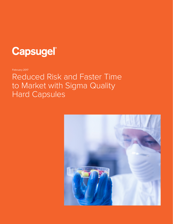

February 2017

# Reduced Risk and Faster Time to Market with Sigma Quality Hard Capsules

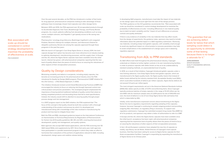Over the past several decades, as the FDA has introduced a number of fast tracks for drug approval, pharmaceutical companies looking to take advantage of those pathways have increasingly chosen hard capsules over other dosage forms.

Between 2010 and 2014, the FDA approved over 20 encapsulated products through its Accelerated Approval, Fast Track, Breakthrough Therapy, and Priority Review programs. As a result, patients suffering from devastating conditions such as lung cancer, multiple sclerosis, and Hepatitis C got speedy access to life-saving new medications.

Pharmacyclics' oncology drug Imbruvica, Boehringer Ingelheim's anti-coagulant Pradaxa, Novartis's Gilenya for multiple sclerosis, and Intermune's Esbriet for idiopathic pulmonary fibrosis are among the capsules approved through these programs in the past few years.

With the launch of Capsugel's Coni-Snap Sigma Series in January 2014, the hard capsule dosage form option has become even more attractive to an industry looking to optimize development, manufacturing processes, and the supply chain. In Europe and the US, where the Sigma Series capsules have been available since the initial launch, interest has grown, with pharmaceutical companies reporting that the new level of quality allows them the peace of mind to focus on assuring the robustness of other aspects of their encapsulation processes.

# Quality by Design considerations

Minimizing variability and defects in excipients, including empty capsules, has become an increasing priority for the pharmaceutical industry since the FDA introduced its Quality by Design (QbD) program, Pharmaceutical CGMP Initiative for the 21st Century – a Risk Based Approach, in 2002.

The initiative introduced revised current Good Manufacturing Practices (cGMP) that encouraged the industry to focus on reducing risk through improved control over critical product and process parameters. The revamped program emphasized the importance of leaving behind traditional methods of quality control that relied on testing completed products and discarding those that fail to meet specifications. Instead, the industry would shift its attention to assuring quality through proper process design and risk management.

In a 2007 progress report on the QbD initiative, the FDA explained that "The focus of this concept is that quality should be built into a product with a thorough understanding of the product and process by which it is developed and manufactured along with a knowledge of the risks involved in manufacturing the product and how best to mitigate those risks."

Both the FDA and EMA, developed guidances based on the International Conference on Harmonisation of Technical Requirements for Registration of Pharmaceuticals for Human Use (ICH) quality guidelines Q8, Q9, and Q10, covering pharmaceutical development, quality risk management, and quality systems.

Both agencies also accept QbD-based applications, with the FDA receiving over 50 QbD-based NDAs and supplements by 2011. Since that same year, both agencies have participated in a parallel assessment program in which they make an effort to harmonize their evaluations of the portions of applications relevant to QbD, including development, design space and realtime release testing.

Risk associated with scale-up should be considered in control strategy development to maximize the probability of effectiveness at scale. *FDA GUIDANCE*

- 
- 
- 

**2 3** In fact, US and European customers have adopted the new line of capsules so readily, says Ronny van de Neste, Global Director of Capsugel's hard capsule business, that they have been asking for access to Sigma Series capsules for their Asian encapsulation facilities; Capsugel is responding by expanding the manufacture of Sigma Series to its Chinese plant.

In developing QbD programs, manufacturers must take the impact of raw materials on the design space into account right from the start of the design process. The FDA's guidance on the ICH guidelines recommends that, "Risk associated with scale-up should be considered in control strategy development to maximize the probability of effectiveness at scale," including differences in raw material quality due to batch-to-batch variability and the "impact of such differences on process controls and quality attributes."

If there is any evidence of variability in the raw materials that may affect results from the design of experiments, the guidance notes, sponsors may need to include information about the potential impact in a QbD regulatory submission. Obviously, raw materials, including empty hard gelatin capsules, with variability small enough to avoid any significant impact on critical product or process parameters may help to avoid complications in the establishment of a design space and in obtaining regulatory approval.

# Transitioning from AQL to PPM standards

As QbD efforts took hold throughout the pharmaceutical industry, Capsugel undertook an initiative to further tighten controls in its own manufacturing facilities, in order to produce capsules with defect levels so low as to be undetectable by standard sampling methods, an unprecedented level of quality.

In 2014, as a result of that initiative, Capsugel introduced gelatin capsules under a new framing reference, Coni-Snap Sigma Series hard gelatin capsules, which are manufactured to Six Sigma quality levels. Six Sigma quality means that instead of defect levels defined by the industry standard limit, Acceptable Quality Level (AQL), which could allow hundreds of defects per million capsules, Sigma Series defects do not exceed 3.4 parts per million (ppm).

The most stringent requirements set out in the American National Standards Institute (ANSI) AQL tables specify an AQL of 0.01% nonconforming items. Since Capsugel typically produces batches of empty capsules in the range of 10-20 million per lot, and ANSI calls for maximum sample sizes of 2,000 pieces for lots of 500,000 and over, the level of defects in a lot of Coni-Snap Sigma Series falls well below that which is detectable by AQL.

Initially, some manufacturers expressed concern about transitioning to the Sigma Series line due to regulatory requirements regarding sampling of the capsules; however, because Capsugel is continuing to sample outgoing product and providing outgoing AQL information, no regulatory filing is necessary. To support new regulatory submissions, Capsugel has submitted excipient drug master files (DMF) for all of its products, and sponsors may obtain a letter of authorization to refer to a DMF.

In Europe and the US, where the Sigma Series capsules have been available since the initial launch, acceptance has been rapid, with pharmaceutical companies reporting that the impressive level of quality allows them the peace of mind to focus on assuring the robustness of other aspects of their encapsulation processes.

"The guarantee that we are achieving defect levels far below that which sampling could detect is an opportunity to eliminate some of that testing because there is no longer a rationale for it."

**JOHN DAVIDSON** *SENIOR MANAGER, QUALITY ENGINEERING SERVICES, CAPSUGEL*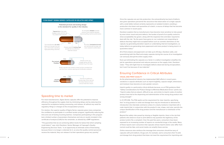#### Speeding time to market

For most manufacturers, Sigma Series capsules offer the potential to improve efficiency throughout the supply chain by minimizing delays and by reducing time required for acceptance testing, processing, and release, all without any need for regulatory filings or changes to the encapsulation process.

For starters, the superior quality of Sigma Series capsules gives many companies the confidence to participate in a certified vendor program, significantly reducing the time and cost of testing incoming batches. Companies participating in this program test a limited number of parameters themselves and rely on results included in the certificate of analysis (CofA) for the remainder, as allowed by cGMP regulations.

"The guarantee that we are achieving defect levels far below that which sampling could detect," says John Davidson, Senior Manager of Capsugel's Quality Engineering Services Team, "is an opportunity to eliminate some of that testing because there is no longer a rationale for it, so once the quality control personnel receive the material, they can release it to their operations group very quickly."

#### **CONI-SNAP® SIGMA SERIES CAPSULES IN GELATIN AND HPMC**



Once the capsules are put into production, the extraordinarily low level of defects also gives operations personnel the assurance that observation of a single capsule with a small defect almost certainly represents an isolated incident, avoiding a production shut down and quarantine of a batch, a source of delays that has become more common in recent years.

Davidson explains that as manufacturers have become more sensitive to risks posed by even minor visual and print defects, the burden of proof of on quality control to show acceptability has grown, along with the response time and labor required to deal with the risk: "As the years have gone on, our customers are responding to defects that they might have accepted before such as cosmetic blemishes on the capsule, by generating deviation reports or undertaking internal investigations, so today defects are generating more paperwork and more product is being stuck in a quarantine status."

All of that analysis and paperwork can take up to 30 days, Davidson adds, and quarantining both the filled and empty capsules during the course of an investigation can seriously disrupt the entire supply chain.

Even just eliminating the capsules as a factor in a defect investigation simplifies the job for operations personnel and reduces pressure on the supply chain, Davidson notes: "They still might have to investigate defects observed during encapsulation, but it won't be because of raw materials."

## Ensuring Confidence in Critical Attributes

#### **VISUAL AND PRINT QUALITY**

As the pharmaceutical industry has implemented QbD efforts in recent years, variations in capsule attributes such as imprint legibility, capsule weight, dimensions, and moisture have become an even greater concern.

Imprint quality is a particularly critical attribute because, as an FDA guidance titled "Safety Considerations for Product Design to Minimize Medication Errors" points out, "Imprint codes that are absent, difficult to see, and similar to imprint codes of another product have led to the dispensing and administration of the wrong drug product and wrong strength."

In 21 CFR 206, The FDA spells out the requirement for clear imprints, specifying that "no drug product in solid oral dosage form may be introduced or delivered for introduction into interstate commerce unless it is clearly marked or imprinted with a code imprint that, in conjunction with the product's size, shape, and color, permits the unique identification of the drug product and the manufacturer or distributor of the product."

Beyond the safety risks posed by missing or illegible imprints, there is the risk that patients who observe visual or print defects may question the legitimacy of the product and/or file a complaint. Over the past few years, consumers have been exposed to an increasing number of reports on counterfeit drugs in the media. Many of these reports warn consumers that capsules whose imprint and/or color differ from normal could be fake, and social media can amplify these worries.

Online resources also reinforce the message that consumers should be wary of capsules with print defects. Drugs.com, for example, warns consumers that "A solid oral dosage form drug product that does not meet the requirement for imprinting and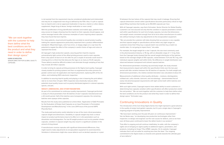is not exempt from the requirement may be considered adulterated and misbranded and may be an unapproved new drug as defined by the FDA. Also, if a pill or capsule has no imprint and is not an approved medication it may be a vitamin or other dietary supplement, illegal drug of abuse, foreign medication or even candy."

With the proliferation of drug identification websites and mobile apps, patients have easy access to images showing how the imprint on their capsules should appear, and online message boards offer numerous examples of users inquiring about capsules they have found that lack imprints.

For many patients, visual and print quality also correlate to overall product quality, making the capsule appearance particularly important from a product differentiation standpoint. Misprinted logos, color hue errors, or sloppy edges on a cap have the potential to negate the effect of the company's careful choice of logo and colors to represent the brand.

At Capsugel's high production speeds, assuring perfect imprints requires extraordinarily tight control of the offset printing process used to mark capsules. Even a tiny speck of dust on an ink roller for just a couple of seconds could result in missing print or a thick line that obscures the logo on as many as 10-20 capsules. Those defects would be difficult to detect and eliminate through sampling of lots that may include 20 million capsules.

In order to bring its capsule printing processes to Six Sigma level quality, Capsugel closely studied its printing systems and then re-engineered the entire process for greater control over ink application and imprint placement, replacing 20% of the ink rollers, and instituting 100% electronic inspection.

In addition to assuring imprint quality and playing a role in lowering the print defect rate to no more than 3.4 ppm, 100% inspection also drastically reduces other potential visual quality issues such as poorly distributed pigment in colored capsules, specks, and pits.

#### **WEIGHT, DIMENSIONS, AND OTHER PARAMETERS**

As part of its commitment to continuous quality improvement, Capsugel performed a study of critical parameters from 42 batches of size 1 capsules manufactured over a 24-month period. Half of the batches were transparent capsules; the remaining batches were opaque white capsules.

Results from the study were published an article titled, "Application of QbD Principles for the Evaluation of Empty Hard Capsules as an Input Parameter in Formulation Development and Manufacturing" in the June 2014 issue of the journal AAPS PharmSciTech.

The study paid particularly careful attention to two of the most critical parameters, capsule weight and dimensions. Variability in capsule weight may have a critical impact on product performance due to its effect on *in vitro* parameters such as dissolution and disintegration. For low fill weight products such as dry powder inhaler capsules, variation in capsule weight may also result in a significant variation in the amount of drug dosed.

If manufacturers receive capsules with significant dimensional differences, they might need to make adjustments to encapsulation equipment to avoid downtime. Variations in dimensions might also cause defects such as dented capsules or a poor

"We can work together with the customer to help them define what the best conditions are for the product and what they need in order to define their design space."

**KARIN SCHROOTEN** *SENIOR DIRECTOR FOR GLOBAL QUALITY, CAPSUGEL*

fit between the two halves of the capsule that may result in leakage. Ensuring that capsule dimensions remain within specifications becomes particularly critical on high speed filling machines that handle up to 250,000 capsules per hour.

With all Capsugel capsules, says Karin Schrooten, Senior Director for Global Quality, customers can rest assured not only that the variation in capsule parameters remains well within specifications for each lot of empty capsules, but also that dimensions and weight remain consistent enough from lot to lot to allow manufacturers to switch lots without having to make any adjustments to the encapsulation equipment.

"We can provide the customer with data showing that our process is very capable and that capsule weight or specifications will be within very tight ranges so customers know that if they buy a capsule batch now and then buy a batch six months later, it's not going to impact them," she adds.

For example, the target weight for a size 1 capsule, the size most commonly used in the pharmaceutical industry, is 76 mg, with an allowable range of +/- 5 mg. Data from the Capsugel study showed that the overall weight distribution of the batches, based on the average weight of 100 capsules, varied between 73.4 and 76.7 mg, with individual capsule weights well within limits. No difference in weight distribution was observed between transparent and colored capsule batches.

For dimensional parameters including cap and body length, the study showed that measurements stayed well within the specification limits over the two-year period with little variation between the 42 batches of capsules. For both weight and dimensional parameters, the relative standard deviation was calculated at about 2%.

Measurements of additional critical quality attributes – moisture, disintegration, sulfated ash, sulfur dioxide, lubricant, and microbiology – demonstrated that all easily met pharmacopoeial requirements with tight control both within batches and between batches.

With such tight control, Capsugel experts have added ability to assist customers in determining how capsules variation within specifications will affect production and/or the end product. "We can work together with the customer to help them define what the best conditions are for the product and what they need in order to define their design space," Schrooten says.

## Continuing Innovations in Quality

The introduction of the Coni-Snap Sigma Series line might represent a great advance in the quality of empty hard gelatin capsules, but it's just a single step in Capsugel's ongoing program of quality improvement.

"We have been working over the past 20 years on continuous improvement," Van de Neste says, "on developing new production technologies other than inspection, to design and engineer out the root causes for defects, and so we have over all these years continued to lower the defect levels in our product."

That effort is ongoing and will continue indefinitely, he adds, with the company's sights set on bringing six sigma quality to additional regions, parameters, and products, including its Vcaps® Plus HPMC capsules. On its website, Capsugel indicates that it will not settle for anything less than the ideal: "Our ongoing commitment to Six Sigma leads us onwards and upwards towards the ultimate goal of zero defects."